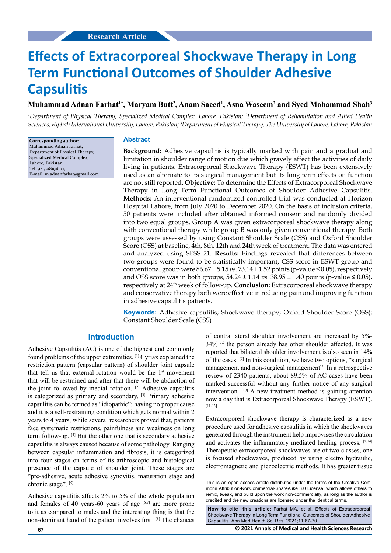# **Effects of Extracorporeal Shockwave Therapy in Long Term Functional Outcomes of Shoulder Adhesive Capsulitis**

# **Muhammad Adnan Farhat1\*, Maryam Butt2 , Anam Saeed1 , Asna Waseem2 and Syed Mohammad Shah3**

*1 Department of Physical Therapy, Specialized Medical Complex, Lahore, Pakistan; 2 Department of Rehabilitation and Allied Health Sciences, Riphah International University, Lahore, Pakistan; 3 Department of Physical Therapy, The University of Lahore, Lahore, Pakistan* 

**Corresponding author:** Muhammad Adnan Farhat, Department of Physical Therapy, Specialized Medical Complex, Lahore, Pakistan, Tel: 92 3218191607; E-mail: [m.adnanfarhat@gmail.com](mailto:m.adnanfarhat@gmail.com)

## **Abstract**

**Background:** Adhesive capsulitis is typically marked with pain and a gradual and limitation in shoulder range of motion due which gravely affect the activities of daily living in patients. Extracorporeal Shockwave Therapy (ESWT) has been extensively used as an alternate to its surgical management but its long term effects on function are not still reported. **Objective:** To determine the Effects of Extracorporeal Shockwave Therapy in Long Term Functional Outcomes of Shoulder Adhesive Capsulitis. **Methods:** An interventional randomized controlled trial was conducted at Horizon Hospital Lahore, from July 2020 to December 2020. On the basis of inclusion criteria, 50 patients were included after obtained informed consent and randomly divided into two equal groups. Group A was given extracorporeal shockwave therapy along with conventional therapy while group B was only given conventional therapy. Both groups were assessed by using Constant Shoulder Scale (CSS) and Oxford Shoulder Score (OSS) at baseline, 4th, 8th, 12th and 24th week of treatment. The data was entered and analyzed using SPSS 21. **Results:** Findings revealed that differences between two groups were found to be statistically important, CSS score in ESWT group and conventional group were 86.67 ± 5.15 *vs.* 73.14 ± 1.52 points (p-value ≤ 0.05), respectively and OSS score was in both groups,  $54.24 \pm 1.14$  *vs.*  $38.95 \pm 1.40$  points (p-value  $\leq 0.05$ ), respectively at 24th week of follow-up. **Conclusion:** Extracorporeal shockwave therapy and conservative therapy both were effective in reducing pain and improving function in adhesive capsulitis patients.

**Keywords:** Adhesive capsulitis; Shockwave therapy; Oxford Shoulder Score (OSS); Constant Shoulder Scale (CSS)

# **Introduction**

Adhesive Capsulitis (AC) is one of the highest and commonly found problems of the upper extremities. [1] Cyriax explained the restriction pattern (capsular pattern) of shoulder joint capsule that tell us that external-rotation would be the 1<sup>st</sup> movement that will be restrained and after that there will be abduction of the joint followed by medial rotation. [2] Adhesive capsulitis is categorized as primary and secondary. [3] Primary adhesive capsulitis can be termed as "idiopathic"; having no proper cause and it is a self-restraining condition which gets normal within 2 years to 4 years, while several researchers proved that, patients face systematic restrictions, painfulness and weakness on long term follow-up. [4] But the other one that is secondary adhesive capsulitis is always caused because of some pathology. Ranging between capsular inflammation and fibrosis, it is categorized into four stages on terms of its arthroscopic and histological presence of the capsule of shoulder joint. These stages are "pre-adhesive, acute adhesive synovitis, maturation stage and chronic stage". [5]

Adhesive capsulitis affects 2% to 5% of the whole population and females of 40 years-60 years of age  $[6,7]$  are more prone to it as compared to males and the interesting thing is that the non-dominant hand of the patient involves first. [8] The chances

of contra lateral shoulder involvement are increased by 5%- 34% if the person already has other shoulder affected. It was reported that bilateral shoulder involvement is also seen in 14% of the cases. [9] In this condition, we have two options, "surgical management and non-surgical management". In a retrospective review of 2340 patients, about 89.5% of AC cases have been marked successful without any further notice of any surgical intervention. [10] A new treatment method is gaining attention now a day that is Extracorporeal Shockwave Therapy (ESWT). [11-13]

Extracorporeal shockwave therapy is characterized as a new procedure used for adhesive capsulitis in which the shockwaves generated through the instrument help improvises the circulation and activates the inflammatory mediated healing process. [2,14] Therapeutic extracorporeal shockwaves are of two classes, one is focused shockwaves, produced by using electro hydraulic, electromagnetic and piezoelectric methods. It has greater tissue

**How to cite this article:** Farhat MA, et al. Effects of Extracorporeal Shockwave Therapy in Long Term Functional Outcomes of Shoulder Adhesive Capsulitis. Ann Med Health Sci Res. 2021;11:67-70.

**67 © 2021 Annals of Medical and Health Sciences Research** 

This is an open access article distributed under the terms of the Creative Commons Attribution-NonCommercial-ShareAlike 3.0 License, which allows others to remix, tweak, and build upon the work non-commercially, as long as the author is credited and the new creations are licensed under the identical terms.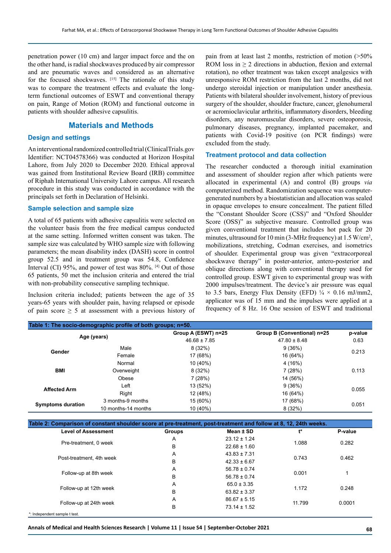penetration power (10 cm) and larger impact force and the on the other hand, is radial shockwaves produced by air compressor and are pneumatic waves and considered as an alternative for the focused shockwaves. [15] The rationale of this study was to compare the treatment effects and evaluate the longterm functional outcomes of ESWT and conventional therapy on pain, Range of Motion (ROM) and functional outcome in patients with shoulder adhesive capsulitis.

# **Materials and Methods**

#### **Design and settings**

An interventional randomized controlled trial (ClinicalTrials.gov Identifier: NCT04578366) was conducted at Horizon Hospital Lahore, from July 2020 to December 2020. Ethical approval was gained from Institutional Review Board (IRB) committee of Riphah International University Lahore campus. All research procedure in this study was conducted in accordance with the principals set forth in Declaration of Helsinki.

#### **Sample selection and sample size**

A total of 65 patients with adhesive capsulitis were selected on the volunteer basis from the free medical campus conducted at the same setting. Informed written consent was taken. The sample size was calculated by WHO sample size with following parameters; the mean disability index (DASH) score in control group 52.5 and in treatment group was 54.8, Confidence Interval (CI) 95%, and power of test was 80%. [4] Out of those 65 patients, 50 met the inclusion criteria and entered the trial with non-probability consecutive sampling technique.

Inclusion criteria included; patients between the age of 35 years-65 years with shoulder pain, having relapsed or episode of pain score  $\geq$  5 at assessment with a previous history of pain from at least last 2 months, restriction of motion (>50% ROM loss in  $\geq 2$  directions in abduction, flexion and external rotation), no other treatment was taken except analgesics with unresponsive ROM restriction from the last 2 months, did not undergo steroidal injection or manipulation under anesthesia. Patients with bilateral shoulder involvement, history of previous surgery of the shoulder, shoulder fracture, cancer, glenohumeral or acromioclavicular arthritis, inflammatory disorders, bleeding disorders, any neuromuscular disorders, severe osteoporosis, pulmonary diseases, pregnancy, implanted pacemaker, and patients with Covid-19 positive (on PCR findings) were excluded from the study.

## **Treatment protocol and data collection**

The researcher conducted a thorough initial examination and assessment of shoulder region after which patients were allocated in experimental (A) and control (B) groups *via* computerized method. Randomization sequence was computergenerated numbers by a biostatistician and allocation was sealed in opaque envelopes to ensure concealment. The patient filled the "Constant Shoulder Score (CSS)" and "Oxford Shoulder Score (OSS)" as subjective measure. Controlled group was given conventional treatment that includes hot pack for 20 minutes, ultrasound for 10 min (3-MHz frequency) at 1.5 W/cm<sup>2</sup>, mobilizations, stretching, Codman exercises, and isometrics of shoulder. Experimental group was given "extracorporeal shockwave therapy" in poster-anterior, antero-posterior and oblique directions along with conventional therapy used for controlled group. ESWT given to experimental group was with 2000 impulses/treatment. The device's air pressure was equal to 3.5 bars, Energy Flux Density (EFD)  $\frac{1}{4} \times 0.16$  mJ/mm2, applicator was of 15 mm and the impulses were applied at a frequency of 8 Hz. 16 One session of ESWT and traditional

| Table 1: The socio-demographic profile of both groups; n=50. |                     |                     |                             |         |  |  |  |  |  |
|--------------------------------------------------------------|---------------------|---------------------|-----------------------------|---------|--|--|--|--|--|
| Age (years)                                                  |                     | Group A (ESWT) n=25 | Group B (Conventional) n=25 | p-value |  |  |  |  |  |
|                                                              |                     | $46.68 \pm 7.85$    | $47.80 \pm 8.48$            | 0.63    |  |  |  |  |  |
| Gender                                                       | Male                | 8(32%)              | 9(36%)                      | 0.213   |  |  |  |  |  |
|                                                              | Female              | 17 (68%)            | 16 (64%)                    |         |  |  |  |  |  |
| BMI                                                          | Normal              | 10 (40%)            | 4 (16%)                     | 0.113   |  |  |  |  |  |
|                                                              | Overweight          | 8(32%)              | 7(28%)                      |         |  |  |  |  |  |
|                                                              | Obese               | 7(28%)              | 14 (56%)                    |         |  |  |  |  |  |
| <b>Affected Arm</b>                                          | Left                | 13 (52%)            | 9(36%)                      | 0.055   |  |  |  |  |  |
|                                                              | Right               | 12 (48%)            | 16 (64%)                    |         |  |  |  |  |  |
| <b>Symptoms duration</b>                                     | 3 months-9 months   | 15 (60%)            | 17 (68%)                    | 0.051   |  |  |  |  |  |
|                                                              | 10 months-14 months | 10 (40%)            | 8(32%)                      |         |  |  |  |  |  |

**Table 2: Comparison of constant shoulder score at pre-treatment, post-treatment and follow at 8, 12, 24th weeks. Level of Assessment Groups Mean ± SD t<sup>\*</sup> P-value** Pre-treatment, 0 week A 23.12 ± 1.24 1.088 0.282 Post-treatment, 4th week <sup>A</sup> 43.83 ± 7.31 0.743 0.462 <sup>B</sup> 42.33 ± 6.67  $F$ ollow-up at 8th week  $A$  56.78 ± 0.74 0.001 1  $56.78 \pm 0.74$ Follow-up at 12th week A 65.0 ± 3.35 1.172 0.248 Follow-up at 24th week <sup>A</sup> 86.67 ± 5.15 11.799 0.0001 <sup>B</sup> 73.14 ± 1.52 \*: Independent sample t test.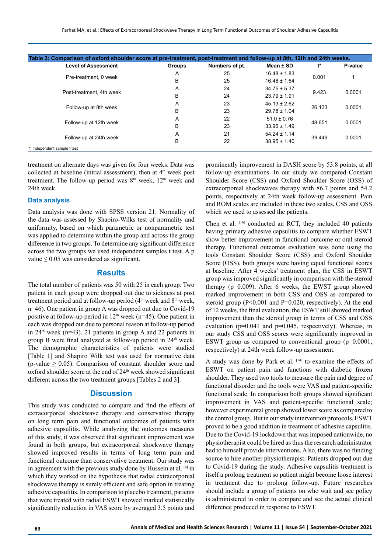| Table 3: Comparison of oxford shoulder score at pre-treatment, post-treatment and follow-up at 8th, 12th and 24th weeks. |               |                |                  |        |         |  |  |  |  |
|--------------------------------------------------------------------------------------------------------------------------|---------------|----------------|------------------|--------|---------|--|--|--|--|
| <b>Level of Assessment</b>                                                                                               | <b>Groups</b> | Numbers of pt. | Mean ± SD        | t*     | P-value |  |  |  |  |
| Pre-treatment, 0 week                                                                                                    | A             | 25             | $16.48 \pm 1.83$ | 0.001  |         |  |  |  |  |
|                                                                                                                          | B             | 25             | $16.48 \pm 1.64$ |        |         |  |  |  |  |
|                                                                                                                          | Α             | 24             | $34.75 \pm 5.37$ |        | 0.0001  |  |  |  |  |
| Post-treatment, 4th week                                                                                                 | B             | 24             | $23.79 \pm 1.91$ | 9.423  |         |  |  |  |  |
|                                                                                                                          | A             | 23             | $45.13 \pm 2.62$ | 26.133 | 0.0001  |  |  |  |  |
| Follow-up at 8th week                                                                                                    | B             | 23             | $29.78 \pm 1.04$ |        |         |  |  |  |  |
|                                                                                                                          | A             | 22             | $51.0 \pm 0.76$  | 48.651 | 0.0001  |  |  |  |  |
| Follow-up at 12th week                                                                                                   | B             | 23             | $33.96 \pm 1.49$ |        |         |  |  |  |  |
|                                                                                                                          | A             | 21             | $54.24 \pm 1.14$ | 39.449 | 0.0001  |  |  |  |  |
| Follow-up at 24th week                                                                                                   | B             | 22             | $38.95 \pm 1.40$ |        |         |  |  |  |  |
| *: Independent sample t test                                                                                             |               |                |                  |        |         |  |  |  |  |

treatment on alternate days was given for four weeks. Data was collected at baseline (initial assessment), then at  $4<sup>th</sup>$  week post treatment. The follow-up period was  $8<sup>th</sup>$  week,  $12<sup>th</sup>$  week and 24th week.

### **Data analysis**

Data analysis was done with SPSS version 21. Normality of the data was assessed by Shapiro-Wilks test of normality and uniformity, based on which parametric or nonparametric test was applied to determine within the group and across the group difference in two groups. To determine any significant difference across the two groups we used independent samples t test. A p value  $\leq 0.05$  was considered as significant.

#### **Results**

The total number of patients was 50 with 25 in each group. Two patient in each group were dropped out due to sickness at post treatment period and at follow-up period  $(4<sup>th</sup>$  week and  $8<sup>th</sup>$  week, n=46). One patient in group A was dropped out due to Covid-19 positive at follow-up period in  $12<sup>th</sup>$  week (n=45). One patient in each was dropped out due to personal reason at follow-up period in  $24<sup>th</sup>$  week (n=43). 21 patients in group A and 22 patients in group B were final analyzed at follow-up period in 24<sup>th</sup> week. The demographic characteristics of patients were studied [Table 1] and Shapiro Wilk test was used for normative data (p-value  $\geq 0.05$ ). Comparison of constant shoulder score and oxford shoulder score at the end of 24<sup>th</sup> week showed significant different across the two treatment groups [Tables 2 and 3].

# **Discussion**

This study was conducted to compare and find the effects of extracorporeal shockwave therapy and conservative therapy on long term pain and functional outcomes of patients with adhesive capsulitis. While analyzing the outcomes measures of this study, it was observed that significant improvement was found in both groups, but extracorporeal shockwave therapy showed improved results in terms of long term pain and functional outcome than conservative treatment. Our study was in agreement with the previous study done by Hussein et al. [4] in which they worked on the hypothesis that radial extracorporeal shockwave therapy is surely efficient and safe option in treating adhesive capsulitis. In comparison to placebo treatment, patients that were treated with radial ESWT showed marked statistically significantly reduction in VAS score by averaged 3.5 points and

prominently improvement in DASH score by 53.8 points, at all follow-up examinations. In our study we compared Constant Shoulder Score (CSS) and Oxford Shoulder Score (OSS) of extracorporeal shockwaves therapy with 86.7 points and 54.2 points, respectively at 24th week follow-up assessment. Pain and ROM scales are included in these two scales, CSS and OSS which we used to assessed the patients.

Chen et al. [16] conducted an RCT, they included 40 patients having primary adhesive capsulitis to compare whether ESWT show better improvement in functional outcome or oral steroid therapy. Functional outcomes evaluation was done using the tools Constant Shoulder Score (CSS) and Oxford Shoulder Score (OSS), both groups were having equal functional scores at baseline. After 4 weeks' treatment plan, the CSS in ESWT group was improved significantly in comparison with the steroid therapy ( $p=0.009$ ). After 6 weeks, the EWST group showed marked improvement in both CSS and OSS as compared to steroid group (P<0.001 and P=0.020, respectively). At the end of 12 weeks, the final evaluation, the ESWT still showed marked improvement than the steroid group in terms of CSS and OSS evaluation ( $p=0.041$  and  $p=0.045$ , respectively). Whereas, in our study CSS and OSS scores were significantly improved in ESWT group as compared to conventional group  $(p=0.0001,$ respectively) at 24th week follow-up assessment.

A study was done by Park et al. [14] to examine the effects of ESWT on patient pain and functions with diabetic frozen shoulder. They used two tools to measure the pain and degree of functional disorder and the tools were VAS and patient-specific functional scale. In comparison both groups showed significant improvement in VAS and patient-specific functional scale; however experimental group showed lower score as compared to the control group. But in our study intervention protocols, ESWT proved to be a good addition in treatment of adhesive capsulitis. Due to the Covid-19 lockdown that was imposed nationwide, no physiotherapist could be hired as thus the research administrator had to himself provide interventions. Also, there was no funding source to hire another physiotherapist. Patients dropped out due to Covid-19 during the study. Adhesive capsulitis treatment is itself a prolong treatment so patient might become loose interest in treatment due to prolong follow-up. Future researches should include a group of patients on who wait and see policy is administered in order to compare and see the actual clinical difference produced in response to ESWT.